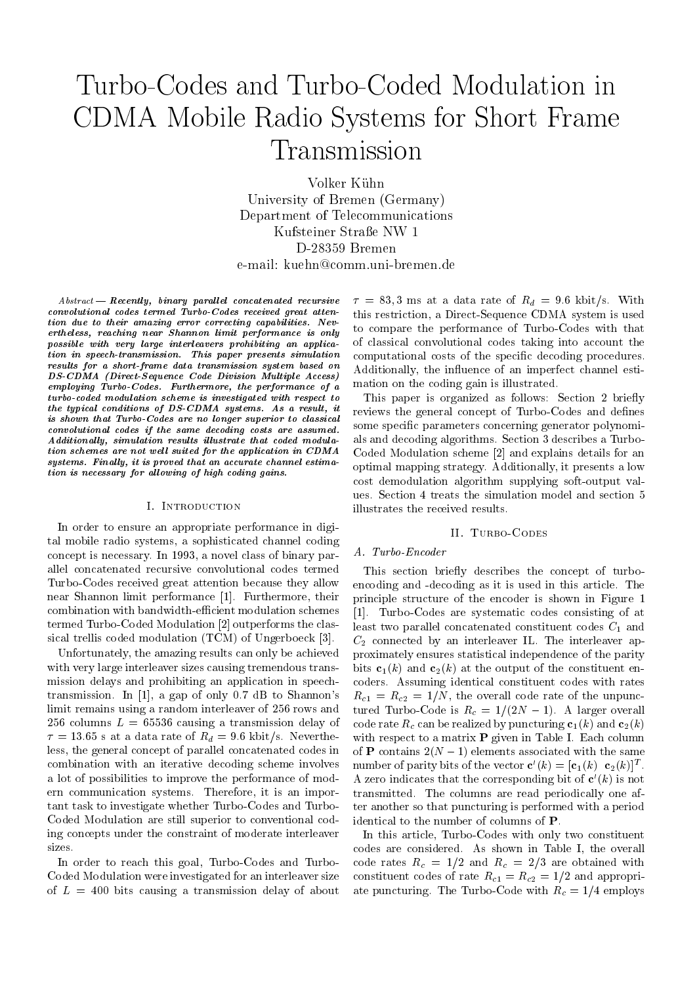# Turbo-Codes and Turbo-Coded Modulation in CDMA Mobile Radio Systems for Short Frame Transmission

Volker Kühn University of Bremen (Germany) Department of Telecommunications Kufsteiner Straße NW 1 D-28359 Bremen e-mail: kuehn@comm.uni-bremen.de

 $A = Recently, binary parallel concatenated recursive$  $Abstract$ convolutional codes termed Turbo-Codes received great attention due to their amazing error correcting capabilities. Nevertheless, reaching near Shannon limit performance is only possible with very large interleavers prohibiting an application in speech-transmission. This paper presents simulation results for a short-frame data transmission system based on DS-CDMA (Direct-Sequence Code Division Multiple Access) employing Turbo-Codes. Furthermore, the performance of a turbo-coded modulation scheme is investigated with respect to the typical conditions of DS-CDMA systems. As a result, it is shown that Turbo-Codes are no longer superior to classical convolutional codes if the same decoding costs are assumed.  $Additionally, \; simulation \; results \; illustrate \; that \; coded \; modula$ tion schemes are not well suited for the application in CDMA  $systems. Finally, it is proved that an accurate channel estimate$ tion is necessary for allowing of high coding gains.

#### I. Introduction

In order to ensure an appropriate performance in digital mobile radio systems, a sophisticated channel coding concept is necessary. In 1993, a novel class of binary parallel concatenated recursive convolutional codes termed Turbo-Codes received great attention because they allow near Shannon limit performance [1]. Furthermore, their combination with bandwidth-efficient modulation schemes termed Turbo-Coded Modulation [2] outperforms the classical trellis coded modulation (TCM) of Ungerboeck [3].

Unfortunately, the amazing results can only be achieved with very large interleaver sizes causing tremendous transmission delays and prohibiting an application in speechtransmission. In [1], a gap of only 0.7 dB to Shannon's limit remains using a random interleaver of 256 rows and 256 columns  $L = 65536$  causing a transmission delay of  $\tau = 13.65$  s at a data rate of  $R_d = 9.6$  kbit/s. Nevertheless, the general concept of parallel concatenated codes in combination with an iterative decoding scheme involves a lot of possibilities to improve the performance of modern communication systems. Therefore, it is an important task to investigate whether Turbo-Codes and Turbo-Coded Modulation are still superior to conventional coding concepts under the constraint of moderate interleaver sizes.

In order to reach this goal, Turbo-Codes and Turbo-Coded Modulation were investigated for an interleaver size of  $L = 400$  bits causing a transmission delay of about  $\tau = 83, 3$  ms at a data rate of  $R_d = 9.6$  kbit/s. With this restriction, a Direct-Sequence CDMA system is used to compare the performance of Turbo-Codes with that of classical convolutional codes taking into account the computational costs of the specific decoding procedures. Additionally, the influence of an imperfect channel estimation on the coding gain is illustrated.

This paper is organized as follows: Section 2 briefly reviews the general concept of Turbo-Codes and defines some specific parameters concerning generator polynomials and decoding algorithms. Section 3 describes a Turbo-Coded Modulation scheme [2] and explains details for an optimal mapping strategy. Additionally, it presents a low cost demodulation algorithm supplying soft-output values. Section 4 treats the simulation model and section 5 illustrates the received results.

## II. TURBO-CODES

## A. Turbo-Encoder

This section briefly describes the concept of turboencoding and -decoding as it is used in this article. The principle structure of the encoder is shown in Figure 1 [1]. Turbo-Codes are systematic codes consisting of at least two parallel concatenated constituent codes  $C_1$  and  $C_2$  connected by an interleaver IL. The interleaver approximately ensures statistical independence of the parity bits  $c_1(k)$  and  $c_2(k)$  at the output of the constituent encoders. Assuming identical constituent codes with rates  $R_{c1} = R_{c2} = 1/N$ , the overall code rate of the unpunctured Turbo-Code is  $R_c = 1/(2N - 1)$ . A larger overall code rate  $R_c$  can be realized by puncturing  $c_1(k)$  and  $c_2(k)$ with respect to a matrix **P** given in Table I. Each column of **P** contains  $2(N-1)$  elements associated with the same number of parity bits of the vector  $c(\kappa)=[c_1(\kappa) \ \ c_2(\kappa)]^T$ . A zero indicates that the corresponding bit of  $\mathbf{c}'(k)$  is not transmitted. The columns are read periodically one after another so that puncturing is performed with a period identical to the number of columns of P.

In this article, Turbo-Codes with only two constituent codes are considered. As shown in Table I, the overall code rates  $R_c = 1/2$  and  $R_c = 2/3$  are obtained with constituent codes of rate  $R_{c1} = R_{c2} = 1/2$  and appropriate puncturing. The Turbo-Code with  $R_c = 1/4$  employs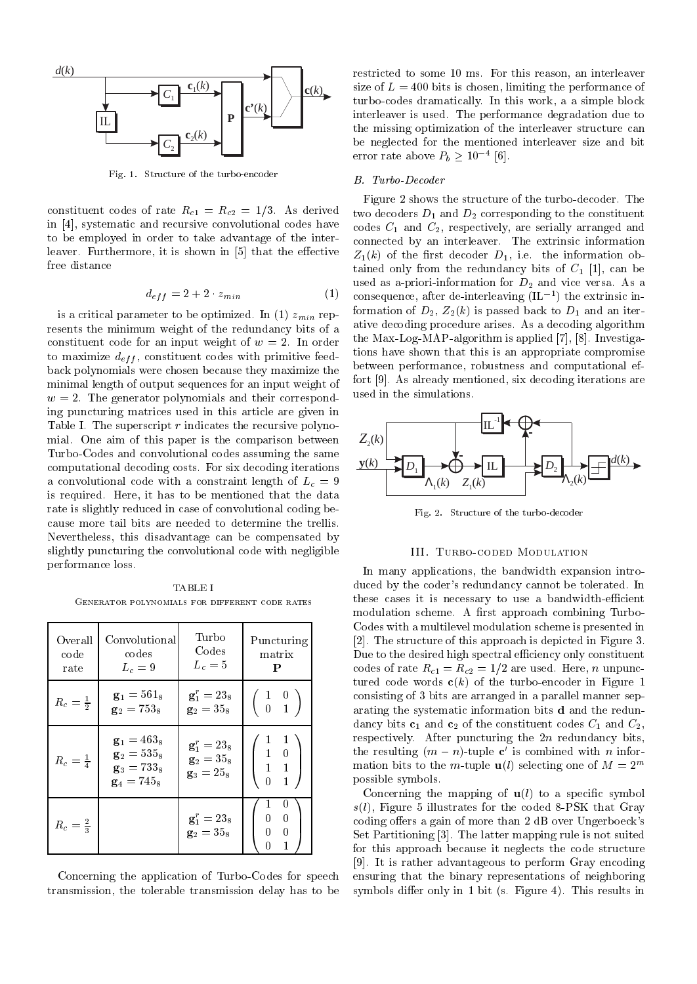

Fig. 1. Structure of the turbo-encoder

constituent codes of rate  $R_{c1} = R_{c2} = 1/3$ . As derived in [4], systematic and recursive convolutional codes have to be employed in order to take advantage of the interleaver. Furthermore, it is shown in [5] that the effective free distance

$$
d_{eff} = 2 + 2 \cdot z_{min} \tag{1}
$$

is a critical parameter to be optimized. In (1)  $z_{min}$  represents the minimum weight of the redundancy bits of a constituent code for an input weight of  $w = 2$ . In order to maximize  $d_{eff}$ , constituent codes with primitive feedback polynomials were chosen because they maximize the minimal length of output sequences for an input weight of  $w = 2$ . The generator polynomials and their corresponding puncturing matrices used in this article are given in Table I. The superscript  $r$  indicates the recursive polynomial. One aim of this paper is the comparison between Turbo-Codes and convolutional codes assuming the same computational decoding costs. For six decoding iterations a convolutional code with a constraint length of  $L_c = 9$ is required. Here, it has to be mentioned that the data rate is slightly reduced in case of convolutional coding because more tail bits are needed to determine the trellis. Nevertheless, this disadvantage can be compensated by slightly puncturing the convolutional code with negligible performance loss.

Generator polynomials for different code rates

| Overall<br>code<br>rate | Convolutional<br>codes<br>$L_c=9$                                       | Turbo<br>Codes<br>$L_c=5$                                        | Puncturing<br>matrix<br>P                                                                | $_{\rm C}$<br>$[2]$<br>Dι<br>co                   |
|-------------------------|-------------------------------------------------------------------------|------------------------------------------------------------------|------------------------------------------------------------------------------------------|---------------------------------------------------|
| $R_c = \frac{1}{2}$     | $g1 = 5618$<br>$g_2 = 753_8$                                            | ${\bf g}_1^r = 23_8$<br>$g_2 = 35g$                              | $\left(\begin{array}{cc} 1 & 0 \\ 0 & 1 \end{array}\right)$                              | tui<br>CO <sub>1</sub><br>ar:<br>$_{\mathrm{da}}$ |
| $R_c = \frac{1}{4}$     | $\mathbf{g}_1 = 463_8$<br>$g_2 = 535g$<br>$g_3 = 733_8$<br>$g_4 = 745g$ | ${\bf g}_{1}^{r}=23_{8}$<br>$g_2 = 35g$<br>$\mathbf{g}_3 = 25_8$ | 1<br>$\left( \begin{array}{rrr} 1 & 0 \\ 1 & 0 \\ 1 & 1 \\ 0 & 1 \\ \end{array} \right)$ | res<br>th<br>m <sub>i</sub><br>po                 |
| $R_c = \frac{2}{3}$     |                                                                         | ${\bf g}_1^r = 23_8$<br>$g_2 = 35_8$                             | 0<br>$\Omega$<br>$\Omega$<br>$0 \quad 0$<br>$\mathbf{1}$<br>0                            | s(l)<br>co<br>Se<br>$f_{\rm O}$                   |

Concerning the application of Turbo-Codes for speech transmission, the tolerable transmission delay has to be restricted to some 10 ms. For this reason, an interleaver size of  $L = 400$  bits is chosen, limiting the performance of turbo-codes dramatically. In this work, a a simple block interleaver is used. The performance degradation due to the missing optimization of the interleaver structure can be neglected for the mentioned interleaver size and bit error rate above  $P_b \geq 10^{-4}$  |6|.

#### B. Turbo-Decoder

Figure 2 shows the structure of the turbo-decoder. The two decoders  $D_1$  and  $D_2$  corresponding to the constituent codes C1 and C2, respectively, are series, arranged and control connected by an interleaver. The extrinsic information is extrinsic information in  $\mathcal{C}$  $Z_1(k)$  of the first decoder  $D_1$ , i.e. the information obtained only from the redundancy bits of  $C_1$  [1], can be used as a-priori-information for  $D_2$  and vice versa. As a consequence, after de-interleaving (IL1 ) the extrinsic information of  $D_2$ ,  $Z_2(k)$  is passed back to  $D_1$  and an iterative decoding procedure arises. As a decoding algorithm the Max-Log-MAP-algorithm is applied [7], [8]. Investigations have shown that this is an appropriate compromise between performance, robustness and computational effort [9]. As already mentioned, six decoding iterations are used in the simulations.



Fig. 2. Structure of the turbo-decoder

#### III. Turbo-coded Modulation

 $\setminus$  | respectively. After puncturing the 2n redundancy bits, **the resulting (***m = n***)-tuple c** is combined with *n* infor-| | mation bits to the m-tuple  $\mathbf{u}(l)$  selecting one of  $M = 2^m$ In many applications, the bandwidth expansion introduced by the coder's redundancy cannot be tolerated. In these cases it is necessary to use a bandwidth-efficient modulation scheme. A first approach combining Turbo-Codes with a multilevel modulation scheme is presented in [2]. The structure of this approach is depicted in Figure 3. Due to the desired high spectral efficiency only constituent codes of rate  $R_{c1} = R_{c2} = 1/2$  are used. Here, n unpunctured code words  $c(k)$  of the turbo-encoder in Figure 1 consisting of 3 bits are arranged in a parallel manner separating the systematic information bits <sup>d</sup> and the redundancy bits  $c_1$  and  $c_2$  of the constituent codes  $C_1$  and  $C_2$ , possible symbols.

 $\mathbf{1}$  1 and 1 and 1 and 1 and 1 and 1 and 1 and 1 and 1 and 1 and 1 and 1 and 1 and 1 and 1 and 1 and 1 and 1 and 1 and 1 and 1 and 1 and 1 and 1 and 1 and 1 and 1 and 1 and 1 and 1 and 1 and 1 and 1 and 1 and 1 and 1 | coding offers a gain of more than 2 dB over Ungerboeck's A Set Partitioning [3]. The latter mapping rule is not suited Concerning the mapping of  $u(l)$  to a specific symbol  $s(l)$ , Figure 5 illustrates for the coded 8-PSK that Gray for this approach because it neglects the code structure [9]. It is rather advantageous to perform Gray encoding ensuring that the binary representations of neighboring symbols differ only in 1 bit (s. Figure 4). This results in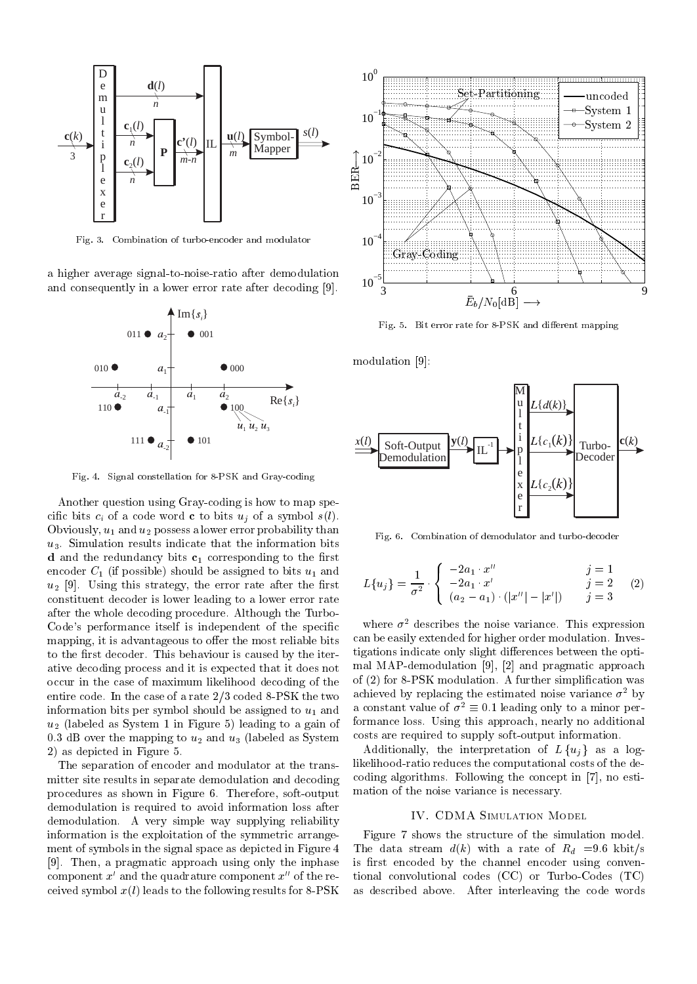

Fig. 3. Combination of turbo-encoder and modulator

a higher average signal-to-noise-ratio after demodulation and consequently in a lower error rate after decoding [9].



Fig. 4. Signal constellation for 8-PSK and Gray-coding

Another question using Gray-coding is how to map specific bits  $c_i$  of a code word **c** to bits  $u_j$  of a symbol  $s(l)$ . Obviously,  $u_1$  and  $u_2$  possess a lower error probability than  $u_3$ . Simulation results indicate that the information bits d and the redundance  $\mu$  bits c1 corresponding to the first corresponding to the  $\mu$ encoder  $C_1$  (if possible) should be assigned to bits  $u_1$  and  $u_2$  [9]. Using this strategy, the error rate after the first constituent decoder is lower leading to a lower error rate after the whole decoding procedure. Although the Turbo-Code's performance itself is independent of the specific mapping, it is advantageous to offer the most reliable bits to the first decoder. This behaviour is caused by the iterative decoding process and it is expected that it does not occur in the case of maximum likelihood decoding of the entire code. In the case of a rate 2/3 coded 8-PSK the two information bits per symbol should be assigned to  $u_1$  and  $u_2$  (labeled as System 1 in Figure 5) leading to a gain of 0.3 dB over the mapping to  $u_2$  and  $u_3$  (labeled as System 2) as depicted in Figure 5.

The separation of encoder and modulator at the transmitter site results in separate demodulation and decoding procedures as shown in Figure 6. Therefore, soft-output demodulation is required to avoid information loss after demodulation. A very simple way supplying reliability information is the exploitation of the symmetric arrangement of symbols in the signal space as depicted in Figure 4 [9]. Then, a pragmatic approach using only the inphase component  $x'$  and the quadrature component  $x''$  of the received symbol  $x(l)$  leads to the following results for 8-PSK



Fig. 5. Bit error rate for 8-PSK and different mapping

modulation [9]:



Fig. 6. Combination of demodulator and turbo-decoder

$$
L\{u_j\} = \frac{1}{\sigma^2} \cdot \begin{cases} -2a_1 \cdot x'' & j = 1 \\ -2a_1 \cdot x' & j = 2 \\ (a_2 - a_1) \cdot (|x''| - |x'|) & j = 3 \end{cases}
$$
 (2)

where  $\sigma^2$  describes the noise variance. This expression can be easily extended for higher order modulation. Investigations indicate only slight differences between the optimal MAP-demodulation [9], [2] and pragmatic approach of (2) for 8-PSK modulation. A further simplication was achieved by replacing the estimated noise variance  $\sigma^2$  by a constant value of  $\sigma^2 \equiv 0.1$  leading only to a minor performance loss. Using this approach, nearly no additional costs are required to supply soft-output information.

Additionally, the interpretation of  $L\{u_i\}$  as a loglikelihood-ratio reduces the computational costs of the decoding algorithms. Following the concept in [7], no estimation of the noise variance is necessary.

#### IV. CDMA Simulation Model

Figure 7 shows the structure of the simulation model. The data stream  $d(k)$  with a rate of  $R_d = 9.6$  kbit/s is first encoded by the channel encoder using conventional convolutional codes (CC) or Turbo-Codes (TC) as described above. After interleaving the code words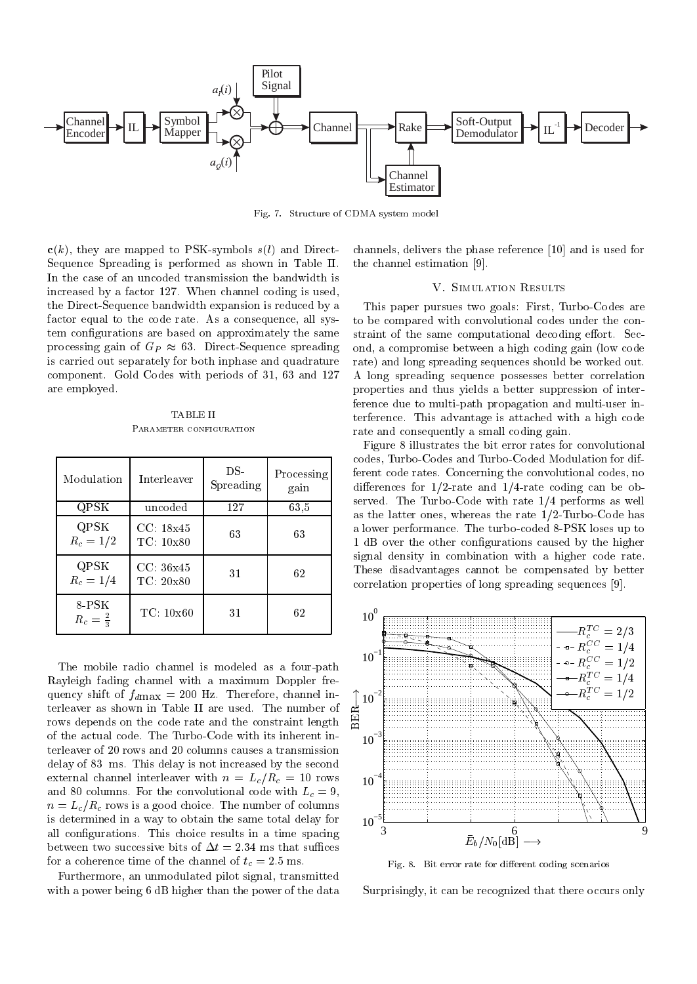

Fig. 7. Structure of CDMA system model

 $c(k)$ , they are mapped to PSK-symbols  $s(l)$  and Direct-Sequence Spreading is performed as shown in Table II. In the case of an uncoded transmission the bandwidth is increased by a factor 127. When channel coding is used, the Direct-Sequence bandwidth expansion is reduced by a factor equal to the code rate. As a consequence, all system configurations are based on approximately the same processing gain of  $G_P \approx 63$ . Direct-Sequence spreading is carried out separately for both inphase and quadrature component. Gold Codes with periods of 31, 63 and 127 are employed.

TABLE II PARAMETER CONFIGURATION

| Modulation                 | Interleaver            | DS-<br>Spreading | Processing<br>gain | $\mathbf C$<br>f<br>$\vec{c}$<br>S |
|----------------------------|------------------------|------------------|--------------------|------------------------------------|
| QPSK                       | uncoded                | 127              | 63,5               | â                                  |
| QPSK<br>$R_c = 1/2$        | CC: 18x45<br>TC: 10x80 | 63               | 63                 | $\partial$<br>$\frac{1}{s}$        |
| QPSK<br>$R_c = 1/4$        | CC.36x45<br>TC: 20x80  | 31               | 62                 | $\overline{c}$                     |
| 8-PSK<br>$R_c=\frac{2}{3}$ | TC: 10x60              | 31               | 62                 |                                    |

The mobile radio channel is modeled as a four-path Rayleigh fading channel with a maximum Doppler frequency shift of  $f_{dmax} = 200$  Hz. Therefore, channel interleaver as shown in Table II are used. The number of rows depends on the code rate and the constraint length of the actual code. The Turbo-Code with its inherent interleaver of 20 rows and 20 columns causes a transmission delay of 83 ms. This delay is not increased by the second external channel interleaver with  $n = L_c/R_c = 10$  rows and 80 columns. For the convolutional code with  $L_c = 9$ ,  $n = L_c/R_c$  rows is a good choice. The number of columns is determined in a way to obtain the same total delay for all configurations. This choice results in a time spacing between two successive bits of  $\Delta t = 2.34$  ms that suffices for a coherence time of the channel of  $t_c = 2.5$  ms.

Furthermore, an unmodulated pilot signal, transmitted with a power being 6 dB higher than the power of the data channels, delivers the phase reference [10] and is used for the channel estimation [9].

# V. Simulation Results

This paper pursues two goals: First, Turbo-Codes are to be compared with convolutional codes under the constraint of the same computational decoding effort. Second, a compromise between a high coding gain (low code rate) and long spreading sequences should be worked out. A long spreading sequence possesses better correlation properties and thus yields a better suppression of interference due to multi-path propagation and multi-user interference. This advantage is attached with a high code rate and consequently a small coding gain.

Processing ferent code rates. Concerning the convolutional codes, no Figure 8 illustrates the bit error rates for convolutional codes, Turbo-Codes and Turbo-Coded Modulation for difdifferences for  $1/2$ -rate and  $1/4$ -rate coding can be observed. The Turbo-Code with rate 1/4 performs as well as the latter ones, whereas the rate 1/2-Turbo-Code has a lower performance. The turbo-coded 8-PSK loses up to 1 dB over the other congurations caused by the higher signal density in combination with a higher code rate. These disadvantages cannot be compensated by better correlation properties of long spreading sequences [9].



Fig. 8. Bit error rate for different coding scenarios

Surprisingly, it can be recognized that there occurs only